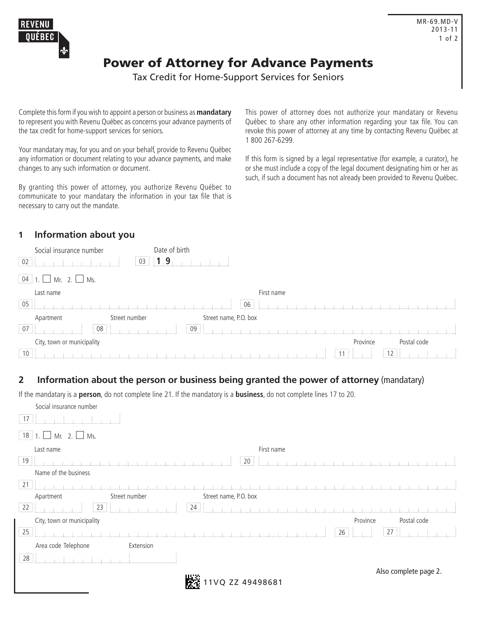

## Power of Attorney for Advance Payments

Tax Credit for Home-Support Services for Seniors

Complete this form if you wish to appoint a person or business as **mandatary**  to represent you with Revenu Québec as concerns your advance payments of the tax credit for home-support services for seniors.

Your mandatary may, for you and on your behalf, provide to Revenu Québec any information or document relating to your advance payments, and make changes to any such information or document.

By granting this power of attorney, you authorize Revenu Québec to communicate to your mandatary the information in your tax file that is necessary to carry out the mandate.

This power of attorney does not authorize your mandatary or Revenu Québec to share any other information regarding your tax file. You can revoke this power of attorney at any time by contacting Revenu Québec at 1 800 267-6299.

If this form is signed by a legal representative (for example, a curator), he or she must include a copy of the legal document designating him or her as such, if such a document has not already been provided to Revenu Québec.

## **1 Information about you**

| Social insurance number                            |                                                                                                                | Date of birth                                                                                                                                                                                                                  |            |                                             |             |  |
|----------------------------------------------------|----------------------------------------------------------------------------------------------------------------|--------------------------------------------------------------------------------------------------------------------------------------------------------------------------------------------------------------------------------|------------|---------------------------------------------|-------------|--|
| $\frac{1}{2}$ 02                                   | $\parallel$ 03 $\parallel$ 1                                                                                   | . 9 -                                                                                                                                                                                                                          |            |                                             |             |  |
| $\boxed{04}$ 1. $\boxed{)}$ Mr. 2. $\boxed{)}$ Ms. |                                                                                                                |                                                                                                                                                                                                                                |            |                                             |             |  |
| Last name                                          |                                                                                                                |                                                                                                                                                                                                                                | First name |                                             |             |  |
| $\begin{bmatrix} 05 \end{bmatrix}$                 | and a series of the series of the series of the series of the series of the series of the series of the series |                                                                                                                                                                                                                                | 06         |                                             |             |  |
| Apartment                                          | Street number                                                                                                  | Street name, P.O. box                                                                                                                                                                                                          |            |                                             |             |  |
| $\boxed{07}$                                       | 08                                                                                                             | $\frac{1}{2}$ 09 $\frac{1}{2}$                                                                                                                                                                                                 |            |                                             |             |  |
| City, town or municipality                         |                                                                                                                |                                                                                                                                                                                                                                |            | Province                                    | Postal code |  |
| $\boxed{10}$                                       |                                                                                                                | The commission of the commission of the commission of the commission of the commission of the commission of the commission of the commission of the commission of the commission of the commission of the commission of the co |            | $\pm$ 11 $\pm$ $\pm$<br>-11<br>$\sim$ $\pm$ |             |  |

## **2 Information about the person or business being granted the power of attorney** (mandatary)

If the mandatary is a **person**, do not complete line 21. If the mandatory is a **business**, do not complete lines 17 to 20.

| Social insurance number            |                                                                                                                     |                       |                  |                                                                                     |                       |             |  |
|------------------------------------|---------------------------------------------------------------------------------------------------------------------|-----------------------|------------------|-------------------------------------------------------------------------------------|-----------------------|-------------|--|
| $\parallel$ 17                     |                                                                                                                     |                       |                  |                                                                                     |                       |             |  |
| $18$ 1<br>$\Box$ Mr. 2. $\Box$ Ms. |                                                                                                                     |                       |                  |                                                                                     |                       |             |  |
| Last name                          |                                                                                                                     |                       | First name       |                                                                                     |                       |             |  |
| $\boxed{19}$                       | a a característica de la                                                                                            |                       | 20               |                                                                                     |                       |             |  |
| Name of the business               |                                                                                                                     |                       |                  |                                                                                     |                       |             |  |
| $\vert$ 21 $\vert$                 |                                                                                                                     |                       |                  |                                                                                     |                       |             |  |
| Apartment                          | Street number                                                                                                       | Street name, P.O. box |                  |                                                                                     |                       |             |  |
| $\overline{22}$                    |                                                                                                                     | $\sqrt{24}$           |                  | $\mathcal{A}=\mathcal{A}=\mathcal{A}$ . The distribution function function function |                       |             |  |
| City, town or municipality         |                                                                                                                     |                       |                  | Province                                                                            |                       | Postal code |  |
| $\overline{25}$                    | .<br>The first property is the first of the first of the first property of the first property of the first property |                       |                  | 26                                                                                  |                       |             |  |
| Area code Telephone                | Extension                                                                                                           |                       |                  |                                                                                     |                       |             |  |
|                                    |                                                                                                                     |                       |                  |                                                                                     |                       |             |  |
|                                    |                                                                                                                     |                       |                  |                                                                                     | Also complete page 2. |             |  |
|                                    |                                                                                                                     |                       | 11VQ ZZ 49498681 |                                                                                     |                       |             |  |